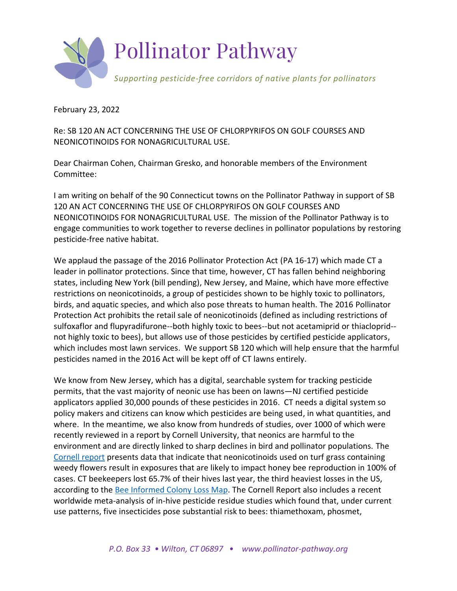

February 23, 2022

Re: SB 120 AN ACT CONCERNING THE USE OF CHLORPYRIFOS ON GOLF COURSES AND NEONICOTINOIDS FOR NONAGRICULTURAL USE.

Dear Chairman Cohen, Chairman Gresko, and honorable members of the Environment Committee:

I am writing on behalf of the 90 Connecticut towns on the Pollinator Pathway in support of SB 120 AN ACT CONCERNING THE USE OF CHLORPYRIFOS ON GOLF COURSES AND NEONICOTINOIDS FOR NONAGRICULTURAL USE. The mission of the Pollinator Pathway is to engage communities to work together to reverse declines in pollinator populations by restoring pesticide-free native habitat.

We applaud the passage of the 2016 Pollinator Protection Act (PA 16-17) which made CT a leader in pollinator protections. Since that time, however, CT has fallen behind neighboring states, including New York (bill pending), New Jersey, and Maine, which have more effective restrictions on neonicotinoids, a group of pesticides shown to be highly toxic to pollinators, birds, and aquatic species, and which also pose threats to human health. The 2016 Pollinator Protection Act prohibits the retail sale of neonicotinoids (defined as including restrictions of sulfoxaflor and flupyradifurone--both highly toxic to bees--but not acetamiprid or thiacloprid- not highly toxic to bees), but allows use of those pesticides by certified pesticide applicators, which includes most lawn services. We support SB 120 which will help ensure that the harmful pesticides named in the 2016 Act will be kept off of CT lawns entirely.

We know from New Jersey, which has a digital, searchable system for tracking pesticide permits, that the vast majority of neonic use has been on lawns—NJ certified pesticide applicators applied 30,000 pounds of these pesticides in 2016. CT needs a digital system so policy makers and citizens can know which pesticides are being used, in what quantities, and where. In the meantime, we also know from hundreds of studies, over 1000 of which were recently reviewed in a report by Cornell University, that neonics are harmful to the environment and are directly linked to sharp declines in bird and pollinator populations. The [Cornell report](https://pollinator.cals.cornell.edu/sites/pollinator.cals.cornell.edu/files/shared/documents/0727%20Accessible%20Neonicotinoid%20Assessment%20compressed.pdf) presents data that indicate that neonicotinoids used on turf grass containing weedy flowers result in exposures that are likely to impact honey bee reproduction in 100% of cases. CT beekeepers lost 65.7% of their hives last year, the third heaviest losses in the US, according to the [Bee Informed Colony Loss Map.](https://research.beeinformed.org/loss-map/) The Cornell Report also includes a recent worldwide meta-analysis of in-hive pesticide residue studies which found that, under current use patterns, five insecticides pose substantial risk to bees: thiamethoxam, phosmet,